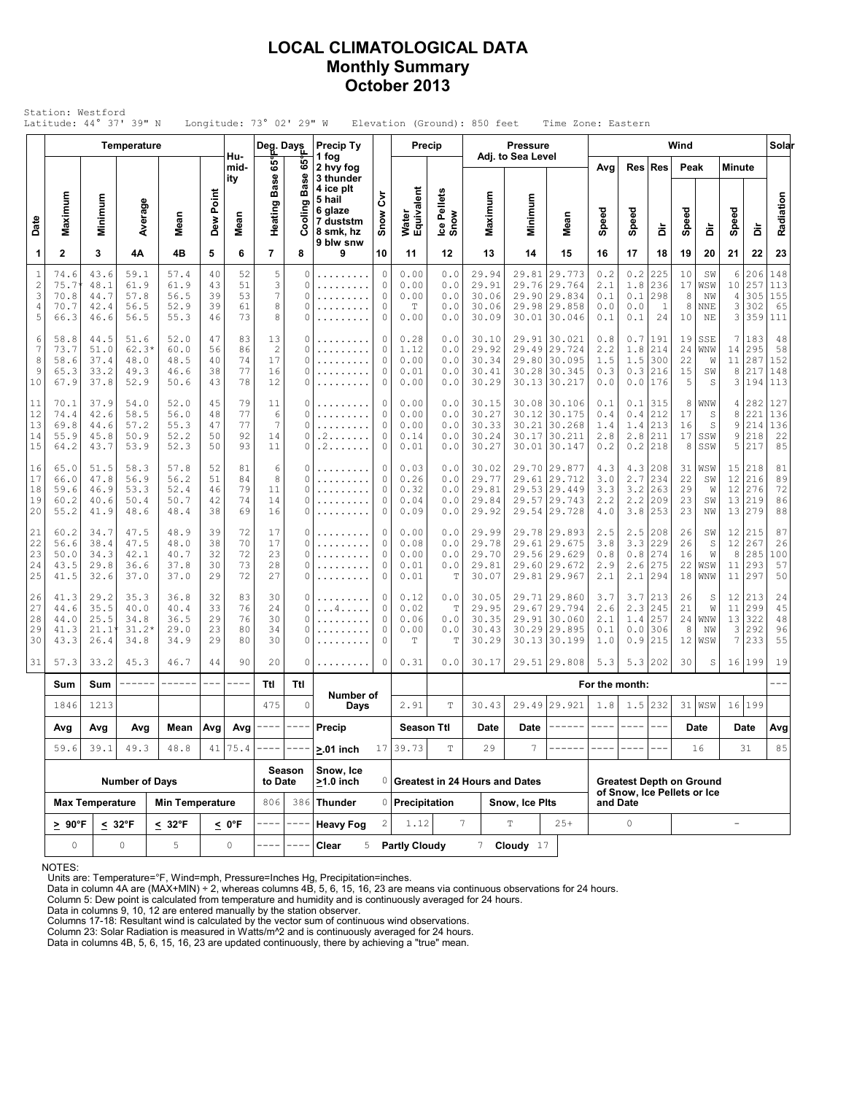### LOCAL CLIMATOLOGICAL DATA Monthly Summary October 2013

| Station: Westford<br>Latitude: 44° 37' 39" N<br>Longitude: $73^\circ$ 02' 29" W<br>Elevation (Ground): 850 feet<br>Time Zone: Eastern<br>Wind<br><b>Precip Ty</b><br><b>Pressure</b><br>Temperature<br>Deg. Days<br><b>Precip</b><br>Adj. to Sea Level<br>Hu- |                                      |                                      |                                         |                                      |                            |                            |                                        |                       |                                              |                                         |                                             |                                   |                                           |                         |                                                                        |                                 |                                   |                                 |                            |                              |                                                |                                 |                                |
|---------------------------------------------------------------------------------------------------------------------------------------------------------------------------------------------------------------------------------------------------------------|--------------------------------------|--------------------------------------|-----------------------------------------|--------------------------------------|----------------------------|----------------------------|----------------------------------------|-----------------------|----------------------------------------------|-----------------------------------------|---------------------------------------------|-----------------------------------|-------------------------------------------|-------------------------|------------------------------------------------------------------------|---------------------------------|-----------------------------------|---------------------------------|----------------------------|------------------------------|------------------------------------------------|---------------------------------|--------------------------------|
|                                                                                                                                                                                                                                                               |                                      |                                      |                                         |                                      |                            |                            |                                        |                       |                                              |                                         |                                             |                                   |                                           |                         |                                                                        |                                 |                                   |                                 |                            |                              |                                                |                                 | Solar                          |
|                                                                                                                                                                                                                                                               |                                      |                                      |                                         |                                      |                            | mid-<br>ity                | န်း<br>စ္တ<br>ã                        | 65°<br>Ф<br>Ŵ,<br>යී  | 1 fog<br>2 hvy fog<br>3 thunder<br>4 ice plt |                                         |                                             |                                   |                                           |                         |                                                                        | Avg                             |                                   | Res Res                         | Peak                       |                              | <b>Minute</b>                                  |                                 |                                |
| Date                                                                                                                                                                                                                                                          | Maximum                              | Minimum                              | Average                                 | Mean                                 | Dew Point                  | Mean                       | Heating                                | ත<br>Coolin           | 5 hail<br>6 glaze<br>7 duststm<br>8 smk, hz  | ξ<br>Snow                               | Water<br>Equivalent                         | Ice Pellets<br>Snow               | Maximum                                   | Minimum                 | Mean                                                                   | Speed                           | Speed                             | å                               | Speed                      | å                            | Speed                                          | å                               | Radiation                      |
| 1                                                                                                                                                                                                                                                             | $\mathbf{2}$                         | 3                                    | 4Α                                      | 4B                                   | 5                          | 6                          | $\overline{7}$                         | 8                     | 9 blw snw<br>9                               | 10                                      | 11                                          | 12                                | 13                                        | 14                      | 15                                                                     | 16                              | 17                                | 18                              | 19                         | 20                           | 21                                             | 22                              | 23                             |
| $1\,$<br>$\mathbf{2}$<br>3<br>4<br>5                                                                                                                                                                                                                          | 74.6<br>75.7<br>70.8<br>70.7<br>66.3 | 43.6<br>48.1<br>44.7<br>42.4<br>46.6 | 59.1<br>61.9<br>57.8<br>56.5<br>56.5    | 57.4<br>61.9<br>56.5<br>52.9<br>55.3 | 40<br>43<br>39<br>39<br>46 | 52<br>51<br>53<br>61<br>73 | 5<br>3<br>$\overline{7}$<br>8<br>8     | 0<br>0<br>0<br>0<br>0 | .<br>.<br>.<br>.                             | $\circ$<br>$\circ$<br>$\circ$<br>0<br>0 | 0.00<br>0.00<br>0.00<br>$\mathbb T$<br>0.00 | 0.0<br>0.0<br>0.0<br>0.0<br>0.0   | 29.94<br>29.91<br>30.06<br>30.06<br>30.09 | 29.81<br>29.76<br>29.90 | 29.773<br>29.764<br>29.834<br>29.98 29.858<br>30.01 30.046             | 0.2<br>2.1<br>0.1<br>0.0<br>0.1 | 0.2<br>1.8<br>0.1<br>0.0<br>0.1   | 225<br>236<br>298<br>1<br>24    | 10<br>17<br>8<br>8<br>10   | SW<br>WSW<br>NW<br>NNE<br>NE | 6<br>10<br>4<br>$\ensuremath{\mathsf{3}}$<br>3 | 206<br>257<br>305<br>302<br>359 | 148<br>113<br>155<br>65<br>111 |
| 6<br>$\overline{7}$<br>8<br>9<br>10                                                                                                                                                                                                                           | 58.8<br>73.7<br>58.6<br>65.3<br>67.9 | 44.5<br>51.0<br>37.4<br>33.2<br>37.8 | 51.6<br>$62.3*$<br>48.0<br>49.3<br>52.9 | 52.0<br>60.0<br>48.5<br>46.6<br>50.6 | 47<br>56<br>40<br>38<br>43 | 83<br>86<br>74<br>77<br>78 | 13<br>$\overline{c}$<br>17<br>16<br>12 | 0<br>0<br>0<br>0<br>0 | .<br>.                                       | 0<br>$\circ$<br>0<br>0<br>0             | 0.28<br>1.12<br>0.00<br>0.01<br>0.00        | 0.0<br>0.0<br>0.0<br>$0.0$<br>0.0 | 30.10<br>29.92<br>30.34<br>30.41<br>30.29 | 29.49<br>30.13          | 29.91 30.021<br>29.724<br>29.80 30.095<br>30.28 30.345<br>30.217       | 0.8<br>2.2<br>1.5<br>0.3<br>0.0 | $0.7$<br>1.8<br>1.5<br>0.3<br>0.0 | 191<br>214<br>300<br>216<br>176 | 19<br>24<br>22<br>15<br>5  | SSE<br>WNW<br>W<br>SW<br>S   | 7<br>14<br>11<br>8<br>3                        | 183<br>295<br>287<br>217<br>194 | 48<br>58<br>152<br>148<br>113  |
| 11<br>12<br>13<br>14<br>15                                                                                                                                                                                                                                    | 70.1<br>74.4<br>69.8<br>55.9<br>64.2 | 37.9<br>42.6<br>44.6<br>45.8<br>43.7 | 54.0<br>58.5<br>57.2<br>50.9<br>53.9    | 52.0<br>56.0<br>55.3<br>52.2<br>52.3 | 45<br>48<br>47<br>50<br>50 | 79<br>77<br>77<br>92<br>93 | 11<br>6<br>7<br>14<br>11               | 0<br>0<br>0<br>0<br>0 | .<br>.<br>. 2<br>.2.00000                    | 0<br>0<br>0<br>0<br>0                   | 0.00<br>0.00<br>0.00<br>0.14<br>0.01        | 0.0<br>$0.0$<br>0.0<br>0.0<br>0.0 | 30.15<br>30.27<br>30.33<br>30.24<br>30.27 | 30.12<br>30.21<br>30.17 | 30.08 30.106<br>30.175<br>30.268<br>30.211<br>30.01 30.147             | 0.1<br>0.4<br>1.4<br>2.8<br>0.2 | 0.1<br>0.4<br>1.4<br>2.8<br>0.2   | 315<br>212<br>213<br>211<br>218 | 8<br>17<br>16<br>17<br>8   | WNW<br>S<br>S<br>SSW<br>SSW  | 4<br>8<br>9<br>9<br>5                          | 282<br>221<br>214<br>218<br>217 | 127<br>136<br>136<br>22<br>85  |
| 16<br>17<br>18<br>19<br>20                                                                                                                                                                                                                                    | 65.0<br>66.0<br>59.6<br>60.2<br>55.2 | 51.5<br>47.8<br>46.9<br>40.6<br>41.9 | 58.3<br>56.9<br>53.3<br>50.4<br>48.6    | 57.8<br>56.2<br>52.4<br>50.7<br>48.4 | 52<br>51<br>46<br>42<br>38 | 81<br>84<br>79<br>74<br>69 | 6<br>8<br>11<br>14<br>16               | 0<br>0<br>0<br>0<br>0 | .<br>.<br>.                                  | 0<br>0<br>0<br>0<br>$\circ$             | 0.03<br>0.26<br>0.32<br>0.04<br>0.09        | 0.0<br>0.0<br>0.0<br>0.0<br>0.0   | 30.02<br>29.77<br>29.81<br>29.84<br>29.92 | 29.61<br>29.53<br>29.57 | 29.70 29.877<br>29.712<br>29.449<br>29.743<br>29.54 29.728             | 4.3<br>3.0<br>3.3<br>2.2<br>4.0 | 4.3<br>2.7<br>3.2<br>2.2<br>3.8   | 208<br>234<br>263<br>209<br>253 | 31<br>22<br>29<br>23<br>23 | WSW<br>SW<br>W<br>SW<br>NW   | 15<br>12<br>12<br>13<br>13                     | 218<br>216<br>276<br>219<br>279 | 81<br>89<br>72<br>86<br>88     |
| 21<br>22<br>23<br>24<br>25                                                                                                                                                                                                                                    | 60.2<br>56.6<br>50.0<br>43.5<br>41.5 | 34.7<br>38.4<br>34.3<br>29.8<br>32.6 | 47.5<br>47.5<br>42.1<br>36.6<br>37.0    | 48.9<br>48.0<br>40.7<br>37.8<br>37.0 | 39<br>38<br>32<br>30<br>29 | 72<br>70<br>72<br>73<br>72 | 17<br>17<br>23<br>28<br>27             | 0<br>0<br>0<br>0<br>0 | .<br>.<br>.                                  | 0<br>0<br>0<br>0<br>0                   | 0.00<br>0.08<br>0.00<br>0.01<br>0.01        | 0.0<br>0.0<br>0.0<br>0.0<br>Т     | 29.99<br>29.78<br>29.70<br>29.81<br>30.07 | 29.61                   | 29.78 29.893<br>29.675<br>29.56 29.629<br>29.60 29.672<br>29.81 29.967 | 2.5<br>3.8<br>0.8<br>2.9<br>2.1 | 2.5<br>3.3<br>0.8<br>2.6<br>2.1   | 208<br>229<br>274<br>275<br>294 | 26<br>26<br>16<br>22<br>18 | SW<br>S<br>W<br>WSW<br>WNW   | $12 \overline{ }$<br>12<br>8<br>11<br>11       | 215<br>267<br>285<br>293<br>297 | 87<br>26<br>100<br>57<br>50    |
| 26<br>27<br>28<br>29<br>30                                                                                                                                                                                                                                    | 41.3<br>44.6<br>44.0<br>41.3<br>43.3 | 29.2<br>35.5<br>25.5<br>21.1<br>26.4 | 35.3<br>40.0<br>34.8<br>$31.2*$<br>34.8 | 36.8<br>40.4<br>36.5<br>29.0<br>34.9 | 32<br>33<br>29<br>23<br>29 | 83<br>76<br>76<br>80<br>80 | 30<br>24<br>30<br>34<br>30             | 0<br>0<br>0<br>0<br>0 | . 4<br>.                                     | 0<br>0<br>0<br>0<br>0                   | 0.12<br>0.02<br>0.06<br>0.00<br>T           | 0.0<br>T<br>0.0<br>$0.0$<br>T     | 30.05<br>29.95<br>30.35<br>30.43<br>30.29 | 29.67<br>29.91          | 29.71 29.860<br>29.794<br>30.060<br>30.29 29.895<br>30.13 30.199       | 3.7<br>2.6<br>2.1<br>0.1<br>1.0 | 3.7<br>2.3<br>1.4<br>0.0<br>0.9   | 213<br>245<br>257<br>306<br>215 | 26<br>21<br>24<br>8<br>12  | S<br>W<br>WNW<br>ΝW<br>WSW   | 12<br>11<br>13<br>3<br>7                       | 213<br>299<br>322<br>292<br>233 | 24<br>45<br>48<br>96<br>55     |
| 31                                                                                                                                                                                                                                                            | 57.3                                 | 33.2                                 | 45.3                                    | 46.7                                 | 44                         | 90                         | 20                                     | 0                     | .                                            | 0                                       | 0.31                                        | 0.0                               | 30.17                                     |                         | 29.51 29.808                                                           | 5.3                             | 5.3                               | 202                             | 30                         | S                            |                                                | 16 199                          | 19                             |
|                                                                                                                                                                                                                                                               | Sum                                  | Sum                                  |                                         |                                      | $\cdots$                   |                            | Ttl                                    | Ttl                   | Number of                                    |                                         |                                             |                                   |                                           |                         |                                                                        | For the month:                  |                                   |                                 |                            |                              |                                                |                                 |                                |
|                                                                                                                                                                                                                                                               |                                      | 1213<br>1846                         |                                         |                                      |                            |                            | 475                                    | $\circ$               | Days                                         |                                         | 2.91                                        | T                                 | 30.43                                     |                         | 29.49 29.921                                                           | 1.8                             |                                   | $1.5$ 232                       |                            | $31$ WSW                     |                                                | 16 199                          |                                |
|                                                                                                                                                                                                                                                               | Avg<br>59.6                          | Avg<br>39.1                          | Avg<br>49.3                             | Mean<br>48.8                         | Avg<br>41                  | Avg<br>75.4                |                                        |                       | Precip<br>$>0.1$ inch                        | 17                                      | <b>Season Ttl</b><br>39.73                  | T                                 | Date<br>29                                | Date<br>7               |                                                                        |                                 |                                   |                                 |                            | Date<br>16                   |                                                | Date<br>31                      | Avg<br>85                      |
|                                                                                                                                                                                                                                                               |                                      |                                      | <b>Number of Days</b>                   |                                      |                            |                            | to Date                                | Season                | Snow, Ice<br>$>1.0$ inch                     |                                         |                                             |                                   | 0 Greatest in 24 Hours and Dates          |                         |                                                                        |                                 |                                   | <b>Greatest Depth on Ground</b> |                            |                              |                                                |                                 |                                |
|                                                                                                                                                                                                                                                               |                                      | <b>Max Temperature</b>               |                                         | <b>Min Temperature</b>               |                            |                            | 806                                    |                       | 386   Thunder                                |                                         | 0 Precipitation                             |                                   |                                           | Snow, Ice Plts          |                                                                        |                                 | and Date                          | of Snow, Ice Pellets or Ice     |                            |                              |                                                |                                 |                                |
|                                                                                                                                                                                                                                                               | $\geq 90^{\circ}$ F                  |                                      | $\leq 32^{\circ}F$                      | $< 32^{\circ}F$                      |                            | $\leq 0$ °F                |                                        |                       | <b>Heavy Fog</b>                             | 2                                       | 1.12                                        |                                   | $7\phantom{.0}$                           | T                       | $25+$                                                                  |                                 | $\circ$                           |                                 |                            |                              | $\overline{\phantom{a}}$                       |                                 |                                |
|                                                                                                                                                                                                                                                               | 0                                    |                                      | 0                                       | 5                                    |                            | 0                          |                                        |                       | Clear<br>5                                   |                                         | <b>Partly Cloudy</b>                        |                                   | 7                                         | Cloudy $17$             |                                                                        |                                 |                                   |                                 |                            |                              |                                                |                                 |                                |

NOTES:

Units are: Temperature=°F, Wind=mph, Pressure=Inches Hg, Precipitation=inches. Data in column 4A are (MAX+MIN) ÷ 2, whereas columns 4B, 5, 6, 15, 16, 23 are means via continuous observations for 24 hours.

Column 5: Dew point is calculated from temperature and humidity and is continuously averaged for 24 hours. Data in columns 9, 10, 12 are entered manually by the station observer.

Columns 17-18: Resultant wind is calculated by the vector sum of continuous wind observations.<br>Column 23: Solar Radiation is measured in Watts/m^2 and is continuously averaged for 24 hours.<br>Data in columns 4B, 5, 6, 15, 16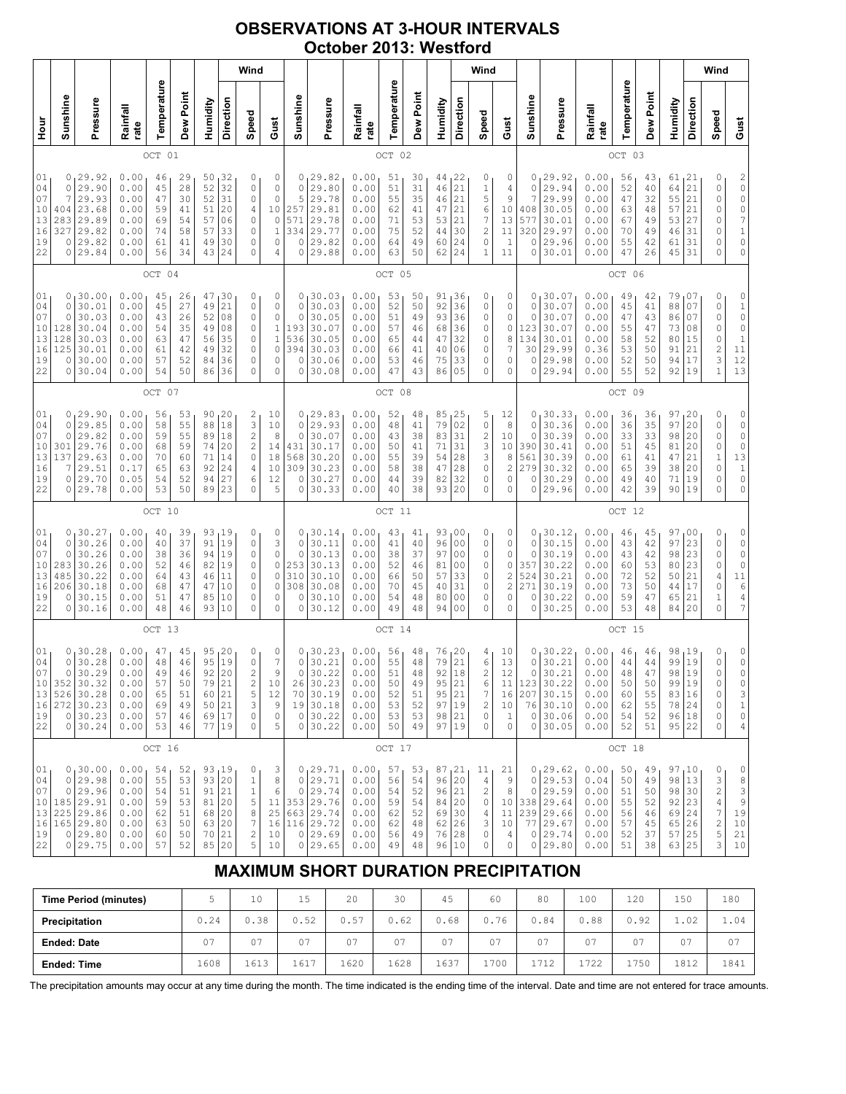## OBSERVATIONS AT 3-HOUR INTERVALS October 2013: Westford

|                                                                  |                                                  |                                                                                                   |                                                              |                                              |                                              |                                                                    |                                               | Wind                                                                    |                                                                          |                                                                  |                                                                                              |                                                              |                                              |                                              |                                                                       |                                                                                                    | Wind                                                          |                                                       |                                                  |                                                                                            |                                                              |                                              |                                              |                                                                        |                                               | Wind                                                                                                                                                                                       |                                                                                     |
|------------------------------------------------------------------|--------------------------------------------------|---------------------------------------------------------------------------------------------------|--------------------------------------------------------------|----------------------------------------------|----------------------------------------------|--------------------------------------------------------------------|-----------------------------------------------|-------------------------------------------------------------------------|--------------------------------------------------------------------------|------------------------------------------------------------------|----------------------------------------------------------------------------------------------|--------------------------------------------------------------|----------------------------------------------|----------------------------------------------|-----------------------------------------------------------------------|----------------------------------------------------------------------------------------------------|---------------------------------------------------------------|-------------------------------------------------------|--------------------------------------------------|--------------------------------------------------------------------------------------------|--------------------------------------------------------------|----------------------------------------------|----------------------------------------------|------------------------------------------------------------------------|-----------------------------------------------|--------------------------------------------------------------------------------------------------------------------------------------------------------------------------------------------|-------------------------------------------------------------------------------------|
| Hour<br>P                                                        | Sunshine                                         | Pressure                                                                                          | Rainfall<br>rate                                             | Temperature                                  | Dew Point                                    | Humidity                                                           | Direction                                     | Speed                                                                   | Gust                                                                     | Sunshine                                                         | Pressure                                                                                     | Rainfall<br>rate                                             | Temperature                                  | Dew Point                                    | Humidity                                                              | Direction                                                                                          | Speed                                                         | Gust                                                  | Sunshine                                         | Pressure                                                                                   | Rainfall<br>rate                                             | Temperature                                  | Dew Point                                    | Humidity                                                               | Direction                                     | Speed                                                                                                                                                                                      | Gust                                                                                |
|                                                                  |                                                  |                                                                                                   |                                                              | OCT 01                                       |                                              |                                                                    |                                               |                                                                         |                                                                          |                                                                  |                                                                                              |                                                              | OCT 02                                       |                                              |                                                                       |                                                                                                    |                                                               |                                                       |                                                  |                                                                                            |                                                              | OCT 03                                       |                                              |                                                                        |                                               |                                                                                                                                                                                            |                                                                                     |
| 01<br>04<br>07<br>10<br>13<br>16<br>19<br>22                     | 0<br>7<br>404<br>283<br>327<br>0<br>0            | 0, 29.92<br>29.90<br>29.93<br>23.68<br>29.89<br>29.82<br>29.82<br>29.84                           | 0.00<br>0.00<br>0.00<br>0.00<br>0.00<br>0.00<br>0.00<br>0.00 | 46<br>45<br>47<br>59<br>69<br>74<br>61<br>56 | 29<br>28<br>30<br>41<br>54<br>58<br>41<br>34 | 50<br>52<br>52<br>51<br>57<br>57<br>49<br>43                       | 132<br>32<br>31<br>20<br>06<br>33<br>30<br>24 | 0<br>0<br>0<br>4<br>0<br>0<br>0<br>0                                    | 0<br>0<br>0<br>10<br>$\mathbb O$<br>$1\,$<br>0<br>4                      | $\circ$<br>5<br>257<br>571<br>334<br>$\circ$<br>$\mathbf 0$      | 0, 29.82<br>29.80<br>29.78<br>29.81<br>29.78<br>29.77<br>29.82<br>29.88                      | 0.00<br>0.00<br>0.00<br>0.00<br>0.00<br>0.00<br>0.00<br>0.00 | 51<br>51<br>55<br>62<br>71<br>75<br>64<br>63 | 30<br>31<br>35<br>41<br>53<br>52<br>49<br>50 | 44,22<br>46<br>46<br>47<br>53<br>44<br>60<br>62                       | 21<br>21<br>21<br>21<br>30<br>24<br>24                                                             | 0<br>$\mathbbm{1}$<br>5<br>6<br>7<br>$\overline{c}$<br>0<br>1 | 0<br>4<br>9<br>10<br>13<br>11<br>$\mathbf{1}$<br>11   | 0<br>0<br>7<br>408<br>577<br>320<br>0<br>0       | 29.92<br>29.94<br>29.99<br>30.05<br>30.01<br>29.97<br>29.96<br>30.01                       | 0.00<br>0.00<br>0.00<br>0.00<br>0.00<br>0.00<br>0.00<br>0.00 | 56<br>52<br>47<br>63<br>67<br>70<br>55<br>47 | 43<br>40<br>32<br>48<br>49<br>49<br>42<br>26 | 61,21<br>64<br>55<br>57<br>53<br>46<br>61<br>45                        | 21<br>21<br>21<br>27<br>31<br>31<br>31        | 0<br>$\mathbb O$<br>0<br>0<br>0<br>0<br>0<br>$\Omega$                                                                                                                                      | $\begin{array}{c} 2 \\ 0 \\ 0 \end{array}$<br>$\circ$<br>7<br>$\mathbf 1$<br>0<br>0 |
|                                                                  |                                                  |                                                                                                   |                                                              | OCT 04                                       |                                              |                                                                    |                                               |                                                                         |                                                                          |                                                                  |                                                                                              |                                                              | OCT 05                                       |                                              |                                                                       |                                                                                                    |                                                               |                                                       |                                                  |                                                                                            |                                                              | OCT 06                                       |                                              |                                                                        |                                               |                                                                                                                                                                                            |                                                                                     |
| 01<br>04<br>07<br>10<br>13<br>16<br>19<br>22                     | 0<br>0<br>0<br>128<br>128<br>125<br>0<br>0       | 30.00<br>30.01<br>30.03<br>30.04<br>30.03<br>30.01<br>30.00<br>30.04                              | 0.00<br>0.00<br>0.00<br>0.00<br>0.00<br>0.00<br>0.00<br>0.00 | 45<br>45<br>43<br>54<br>63<br>61<br>57<br>54 | 26<br>27<br>26<br>35<br>47<br>42<br>52<br>50 | 47<br>49<br>52<br>49<br>56<br>49<br>84<br>86                       | 30<br>21<br>08<br>08<br>35<br>32<br>36<br>36  | 0<br>0<br>0<br>0<br>$\mathbb O$<br>0<br>0<br>0                          | 0<br>0<br>$\mathbb O$<br>$\mathbf 1$<br>$\mathbf 1$<br>0<br>$\circ$<br>0 | 0<br>$\circ$<br>$\circ$<br>193<br>536<br>394<br>$\circ$<br>0     | 30.03<br>30.03<br>30.05<br>30.07<br>30.05<br>30.03<br>30.06<br>30.08                         | 0.00<br>0.00<br>0.00<br>0.00<br>0.00<br>0.00<br>0.00<br>0.00 | 53<br>52<br>51<br>57<br>65<br>66<br>53<br>47 | 50<br>50<br>49<br>46<br>44<br>41<br>46<br>43 | 91,36<br>92<br>93<br>68<br>47<br>40<br>75<br>86                       | 36<br>36<br>36<br>32<br>06<br>33<br>05                                                             | 0<br>0<br>0<br>0<br>0<br>0<br>0<br>0                          | 0<br>0<br>0<br>0<br>8<br>7<br>0<br>$\Omega$           | 0<br>0<br>$\Omega$<br>123<br>134<br>30<br>0<br>0 | 30.07<br>30.07<br>30.07<br>30.07<br>30.01<br>29.99<br>29.98<br>29.94                       | 0.00<br>0.00<br>0.00<br>0.00<br>0.00<br>0.36<br>0.00<br>0.00 | 49<br>45<br>47<br>55<br>58<br>53<br>52<br>55 | 42<br>41<br>43<br>47<br>52<br>50<br>50<br>52 | 79<br>88<br>86<br>73<br>80<br>91<br>94<br>92                           | 07<br>07<br>07<br>08<br>15<br>21<br>17<br>19  | 0<br>0<br>0<br>0<br>0<br>$\overline{\mathbf{c}}$<br>3<br>$\mathbf 1$                                                                                                                       | $\circ$<br>$\mathbf 1$<br>0<br>0<br>$\,1\,$<br>11<br>12<br>13                       |
|                                                                  |                                                  |                                                                                                   |                                                              | OCT 07                                       |                                              |                                                                    |                                               |                                                                         |                                                                          |                                                                  |                                                                                              |                                                              | OCT                                          | 08                                           |                                                                       |                                                                                                    |                                                               |                                                       |                                                  |                                                                                            |                                                              | OCT 09                                       |                                              |                                                                        |                                               |                                                                                                                                                                                            |                                                                                     |
| 01<br>04<br>07<br>10<br>13<br>16<br>19<br>22                     | 0<br>0<br>0<br>301<br>137<br>7<br>0<br>0         | 29.90<br>29.85<br>29.82<br>29.76<br>29.63<br>29.51<br>29.70<br>29.78                              | 0.00<br>0.00<br>0.00<br>0.00<br>0.00<br>0.17<br>0.05<br>0.00 | 56<br>58<br>59<br>68<br>70<br>65<br>54<br>53 | 53<br>55<br>55<br>59<br>60<br>63<br>52<br>50 | 90<br>88<br>89<br>74<br>71<br>92<br>94<br>89                       | 20<br>18<br>18<br>20<br>14<br>24<br>27<br>23  | $\overline{\mathbf{c}}$<br>3<br>$\overline{c}$<br>2<br>0<br>4<br>6<br>0 | 10<br>10<br>8<br>14<br>18<br>10<br>12<br>5                               | 0<br>$\circ$<br>$\mathbf 0$<br>431<br>568<br>309<br>$\circ$<br>0 | 29.83<br>29.93<br>30.07<br>30.17<br>30.20<br>30.23<br>30.27<br>30.33                         | 0.00<br>0.00<br>0.00<br>0.00<br>0.00<br>0.00<br>0.00<br>0.00 | 52<br>48<br>43<br>50<br>55<br>58<br>44<br>40 | 48<br>41<br>38<br>41<br>39<br>38<br>39<br>38 | 85<br>79<br>83<br>71<br>54<br>47<br>82<br>93                          | 125<br>02<br>31<br>31<br>28<br>28<br>32<br>20                                                      | 5<br>0<br>$\overline{\mathbf{c}}$<br>3<br>3<br>0<br>0<br>0    | 12<br>8<br>10<br>10<br>8<br>2<br>0<br>0               | 0<br>0<br>0<br>390<br>561<br>279<br>0<br>0       | 30.33<br>30.36<br>30.39<br>30.41<br>30.39<br>30.32<br>30.29<br>29.96                       | 0.00<br>0.00<br>0.00<br>0.00<br>0.00<br>0.00<br>0.00<br>0.00 | 36<br>36<br>33<br>51<br>61<br>65<br>49<br>42 | 36<br>35<br>33<br>45<br>41<br>39<br>40<br>39 | 97<br>97<br>98<br>81<br>47<br>38<br>71<br>90                           | 20<br>20<br>20<br>20<br>21<br>20<br>19<br>19  | 0<br>$\mathbb O$<br>0<br>0<br>$\mathbf 1$<br>0<br>0<br>$\Omega$                                                                                                                            | 0<br>$\mathbb O$<br>0<br>$\mathbb O$<br>13<br>$\mathbf{1}$<br>0<br>0                |
|                                                                  |                                                  |                                                                                                   |                                                              | OCT 10                                       |                                              |                                                                    |                                               |                                                                         |                                                                          |                                                                  |                                                                                              |                                                              | OCT 11                                       |                                              |                                                                       |                                                                                                    |                                                               |                                                       |                                                  |                                                                                            |                                                              | OCT 12                                       |                                              |                                                                        |                                               |                                                                                                                                                                                            |                                                                                     |
| 01<br>04<br>07<br>10<br>13<br>16<br>19<br>22                     | 0<br>0<br>0<br>283<br>485<br>206<br>0<br>$\circ$ | 30.27<br>30.26<br>30.26<br>30.26<br>30.22<br>30.18<br>30.15<br>30.16                              | 0.00<br>0.00<br>0.00<br>0.00<br>0.00<br>0.00<br>0.00<br>0.00 | 40<br>40<br>38<br>52<br>64<br>68<br>51<br>48 | 39<br>37<br>36<br>46<br>43<br>47<br>47<br>46 | 93,19<br>91<br>94<br>82<br>46<br>47<br>85<br>93 10                 | 19<br>19<br>19<br>11<br>10<br>10              | 0<br>0<br>$\mathbb O$<br>0<br>0<br>0<br>0<br>0                          | 0<br>3<br>$\mathbb O$<br>0<br>$\mathsf{O}\xspace$<br>0<br>0<br>0         | 0<br>$\mathbf 0$<br>$\circ$<br>253<br>310<br>308<br>0<br>0       | 130.14<br>30.11<br>30.13<br>30.13<br>30.10<br>30.08<br>30.10<br>30.12                        | 0.00<br>0.00<br>0.00<br>0.00<br>0.00<br>0.00<br>0.00<br>0.00 | 43<br>41<br>38<br>52<br>66<br>70<br>54<br>49 | 41<br>40<br>37<br>46<br>50<br>45<br>48<br>48 | 93,00<br>96<br>97<br>81<br>57<br>40<br>80<br>94                       | 0 <sub>0</sub><br>0 <sub>0</sub><br>0 <sub>0</sub><br>33<br>31<br>0 <sub>0</sub><br>0 <sub>0</sub> | 0<br>0<br>0<br>0<br>0<br>0<br>0<br>$\Omega$                   | 0<br>0<br>0<br>0<br>2<br>$\overline{c}$<br>0<br>0     | 0<br>0<br>0<br>357<br>524<br>271<br>0<br>0       | 30.12<br>30.15<br>30.19<br>30.22<br>30.21<br>30.19<br>30.22<br>30.25                       | 0.00<br>0.00<br>0.00<br>0.00<br>0.00<br>0.00<br>0.00<br>0.00 | 46<br>43<br>43<br>60<br>72<br>73<br>59<br>53 | 45<br>42<br>42<br>53<br>52<br>50<br>47<br>48 | 97<br>97<br>98<br>80<br>50<br>44<br>65<br>84                           | 100<br>23<br>23<br>23<br>21<br>17<br>21<br>20 | 0<br>0<br>$\mathbb O$<br>0<br>4<br>0<br>$\mathbf 1$<br>0                                                                                                                                   | 0<br>0<br>$\circ$<br>$\circ$<br>$11\,$<br>6<br>4<br>7                               |
|                                                                  |                                                  |                                                                                                   |                                                              | OCT                                          | 13                                           |                                                                    |                                               |                                                                         |                                                                          |                                                                  |                                                                                              |                                                              | OCT 14                                       |                                              |                                                                       |                                                                                                    |                                                               |                                                       |                                                  |                                                                                            |                                                              | OCT 15                                       |                                              |                                                                        |                                               |                                                                                                                                                                                            |                                                                                     |
| 01<br>04<br>07<br>10 <sub>1</sub><br>13<br>16<br>19<br>22        | 0<br>0<br>352                                    | 0, 30, 28<br>30.28<br>30.29<br>30.32<br>526 30.28<br>272 30.23<br>0 30.23<br>0 30.24              | 0.00<br>0.00<br>0.00<br>0.00<br>0.00<br>0.00<br>0.00<br>0.00 | 47<br>48<br>49<br>57<br>65<br>69<br>57<br>53 | 45<br>46<br>46<br>50<br>51<br>49<br>46<br>46 | 95, 20<br>95 19<br>92<br>79<br>60<br>50 21<br>69 17<br>77 19       | 20<br>21<br>21                                | 0<br>$\mathbb O$<br>$\overline{c}$<br>2<br>5<br>3<br>0<br>0             | 0<br>$\boldsymbol{7}$<br>9<br>10<br>12<br>9<br>$\mathbb O$<br>5          | $\circ$<br>$\circ$<br>26                                         | 0, 30.23<br>30.21<br>30.22<br>30.23<br>70 30.19<br>19 30.18<br>0 30.22<br>0 30.22            | 0.00<br>0.00<br>0.00<br>0.00<br>0.00<br>0.00<br>0.00<br>0.00 | 56<br>55<br>51<br>50<br>52<br>53<br>53<br>50 | 48<br>48<br>48<br>49<br>51<br>52<br>53<br>49 | 76, 20<br>79<br>92<br>95<br>95<br>97<br>98 21<br>97 19                | 21<br>18<br>21<br> 21<br>19                                                                        | 4<br>6<br>$\mathbf{2}$<br>6<br>7<br>2<br>0<br>0               | 10<br>13<br>12<br>11<br>16<br>10<br>$\mathbf{1}$<br>0 | 0<br>0<br>0<br>123                               | 130.22<br>30.21<br>30.21<br>30.22<br>207 30.15<br>76 30.10<br>0 30.06<br>0 30.05           | 0.00<br>0.00<br>0.00<br>0.00<br>0.00<br>0.00<br>0.00<br>0.00 | 46<br>44<br>48<br>50<br>60<br>62<br>54<br>52 | 46<br>44<br>47<br>50<br>55<br>55<br>52<br>51 | 98,19<br>99<br>98<br>99 19<br>83 16<br>78 24<br>96 18<br>95 22         | 19<br>19                                      | 0<br>$\mathbb O$<br>0<br>0<br>0<br>0<br>0<br>0                                                                                                                                             | 0<br>$\circ$<br>0<br>0<br>3<br>$\mathbf 1$<br>$\mathbb O$<br>4                      |
|                                                                  |                                                  |                                                                                                   |                                                              | OCT 16                                       |                                              |                                                                    |                                               |                                                                         |                                                                          |                                                                  |                                                                                              |                                                              | OCT 17                                       |                                              |                                                                       |                                                                                                    |                                                               |                                                       |                                                  |                                                                                            |                                                              | OCT 18                                       |                                              |                                                                        |                                               |                                                                                                                                                                                            |                                                                                     |
| 01<br>04<br>07<br>10 <sub>1</sub><br>13 <sup>1</sup><br>19<br>22 | $\circ$                                          | 0, 30, 00<br>0 29.98<br>29.96<br>185 29.91<br>225 29.86<br>16   165   29.80<br>0 29.80<br>0 29.75 | 0.00<br>0.00<br>0.00<br>0.00<br>0.00<br>0.00<br>0.00<br>0.00 | 54<br>55<br>54<br>59<br>62<br>63<br>60<br>57 | 52<br>53<br>51<br>53<br>51<br>50<br>50<br>52 | 93, 19<br>93 20<br>91 21<br>81 20<br>68 20<br>63 20<br>70<br>85 20 | 21                                            | 0<br>1<br>$\mathbf 1$<br>5<br>8<br>7<br>$\overline{c}$<br>5             | 3<br>8<br>6<br>11<br>25<br>10<br>10                                      | $\circ$                                                          | 0, 29.71<br>0 29.71<br>29.74<br>353 29.76<br>663 29.74<br>16 116 29.72<br>0 29.69<br>0 29.65 | 0.00<br>0.00<br>0.00<br>0.00<br>0.00<br>0.00<br>0.00<br>0.00 | 57<br>56<br>54<br>59<br>62<br>62<br>56<br>49 | 53<br>54<br>52<br>54<br>52<br>48<br>49<br>48 | 87,21<br>96 20<br>96<br>84 20<br>69<br>$62 \mid 26$<br>76 28<br>96 10 | 21<br>30                                                                                           | 11<br>4<br>$\mathbf{2}$<br>0<br>4<br>3<br>0<br>0              | 21<br>9<br>8<br>10 <sub>1</sub><br>11<br>10<br>4<br>0 | 0                                                | 0, 29.62<br>29.53<br>0 29.59<br>338 29.64<br>239 29.66<br>$77$ 29.67<br>0 29.74<br>0 29.80 | 0.00<br>0.04<br>0.00<br>0.00<br>0.00<br>0.00<br>0.00<br>0.00 | 50<br>50<br>51<br>55<br>56<br>57<br>52<br>51 | 49<br>49<br>50<br>52<br>46<br>45<br>37<br>38 | 97,10<br>98 13<br>98 30<br>92   23<br>69 24<br>65 26<br>57 25<br>63 25 |                                               | 0<br>3<br>$\mathfrak{2}% _{T}=\mathfrak{2}_{T}\!\left( a,b\right) ,\ \mathfrak{2}_{T}=\mathfrak{2}_{T}\!\left( a,b\right) ,$<br>$\sqrt{4}$<br>$\boldsymbol{7}$<br>$\overline{c}$<br>5<br>3 | 0<br>8<br>$\overline{3}$<br>$\mathsf{9}$<br>19<br>$10$<br>21<br>10                  |

# MAXIMUM SHORT DURATION PRECIPITATION

| <b>Time Period (minutes)</b> |      | 10   | 15   | 20   | 30   | 45   | 60   | 80   | 100           | 120  | 150  | 180  |
|------------------------------|------|------|------|------|------|------|------|------|---------------|------|------|------|
| Precipitation                | 0.24 | 0.38 | 0.52 | 0.57 | 0.62 | 0.68 | 0.76 | 0.84 | 0.88          | 0.92 | 1.02 | 1.04 |
| <b>Ended: Date</b>           | 07   | 07   | 07   | 07   | 07   | 07   | 07   | 07   | 07            | 07   | 07   | 07   |
| <b>Ended: Time</b>           | 1608 | 1613 | 1617 | 1620 | 1628 | 1637 | 1700 | 1712 | 1722<br>1 Z Z | .750 | 1812 | 1841 |

The precipitation amounts may occur at any time during the month. The time indicated is the ending time of the interval. Date and time are not entered for trace amounts.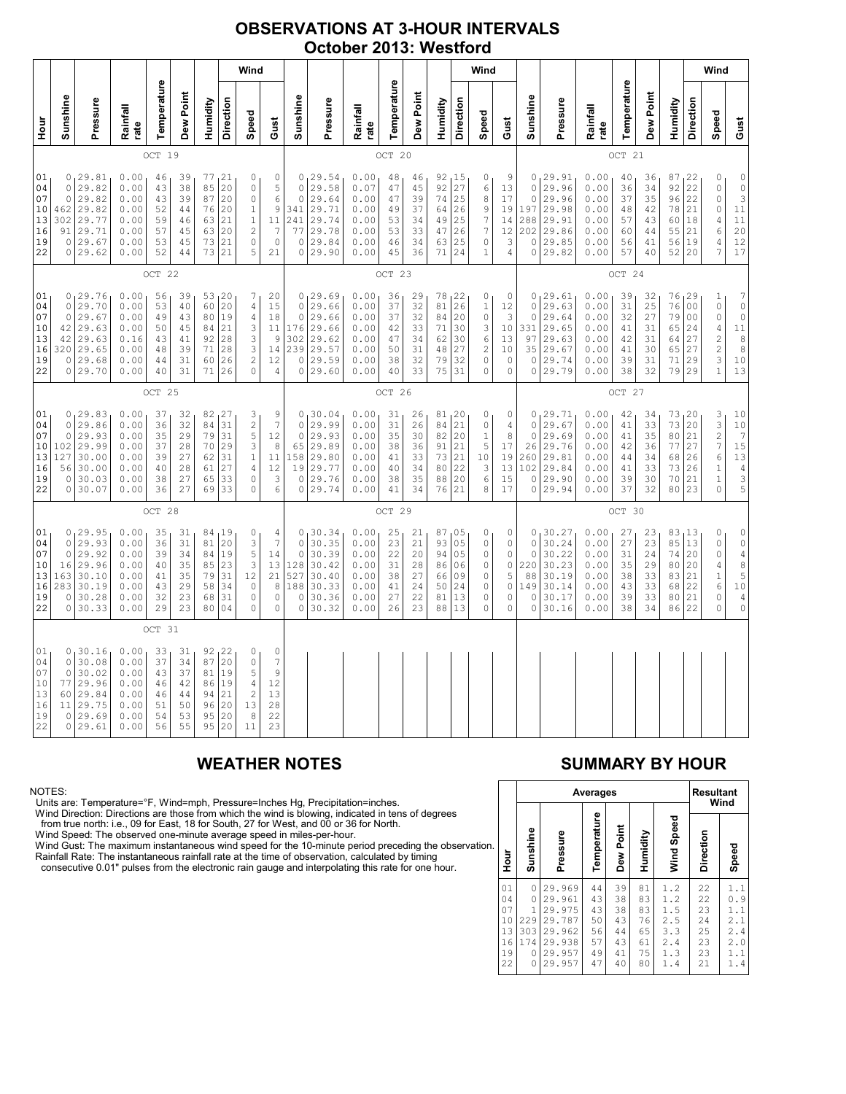### OBSERVATIONS AT 3-HOUR INTERVALS October 2013: Westford

|                                              |                                                       |                                                                           | Wind                                                         |                                              |                                              |                                              |                                                        |                                                                                                        | Wind                                                                                        |                                                                       |                                                                         |          |                                                              |                                              |                                              |                                                 |                                                           | Wind                                                                                        |                                                      |                                       |                                                                                         |                                                              |                                              |                                              |                                                 |                                                                       |                                                                                                                      |                                                                                                                                      |
|----------------------------------------------|-------------------------------------------------------|---------------------------------------------------------------------------|--------------------------------------------------------------|----------------------------------------------|----------------------------------------------|----------------------------------------------|--------------------------------------------------------|--------------------------------------------------------------------------------------------------------|---------------------------------------------------------------------------------------------|-----------------------------------------------------------------------|-------------------------------------------------------------------------|----------|--------------------------------------------------------------|----------------------------------------------|----------------------------------------------|-------------------------------------------------|-----------------------------------------------------------|---------------------------------------------------------------------------------------------|------------------------------------------------------|---------------------------------------|-----------------------------------------------------------------------------------------|--------------------------------------------------------------|----------------------------------------------|----------------------------------------------|-------------------------------------------------|-----------------------------------------------------------------------|----------------------------------------------------------------------------------------------------------------------|--------------------------------------------------------------------------------------------------------------------------------------|
| Hour<br>P                                    | Sunshine                                              | Pressure                                                                  | Rainfall<br>rate                                             | Temperature                                  | Dew Point                                    | Humidity                                     | Direction                                              | Speed                                                                                                  | Gust                                                                                        | Sunshine                                                              | Pressure                                                                | Rainfall | rate                                                         | Temperature                                  | Dew Point                                    | Humidity                                        | Direction                                                 | Speed                                                                                       | Gust                                                 | Sunshine                              | Pressure                                                                                | Rainfall<br>rate                                             | Temperature                                  | Dew Point                                    | Humidity                                        | Direction                                                             | Speed                                                                                                                | Gust                                                                                                                                 |
|                                              |                                                       |                                                                           |                                                              | OCT 19                                       |                                              |                                              |                                                        |                                                                                                        |                                                                                             |                                                                       |                                                                         |          |                                                              | OCT 20                                       |                                              |                                                 |                                                           |                                                                                             |                                                      |                                       |                                                                                         |                                                              | OCT 21                                       |                                              |                                                 |                                                                       |                                                                                                                      |                                                                                                                                      |
| 01<br>04<br>07<br>10<br>13<br>16<br>19<br>22 | 0<br>$\circ$<br>462<br>302<br>91<br>$\circ$           | 0, 29.81<br>29.82<br>29.82<br>29.82<br>29.77<br>29.71<br>29.67<br>0 29.62 | 0.00<br>0.00<br>0.00<br>0.00<br>0.00<br>0.00<br>0.00<br>0.00 | 46<br>43<br>43<br>52<br>59<br>57<br>53<br>52 | 39<br>38<br>39<br>44<br>46<br>45<br>45<br>44 | 85<br>87<br>76<br>63<br>63<br>73             | 77, 21<br>20<br>20<br>20<br>21<br>20<br>21<br>73 21    | 0<br>0<br>0<br>$1\,$<br>$\mathbf 1$<br>$\overline{c}$<br>$\circ$<br>5                                  | $\mathbb O$<br>5<br>6<br>$\mathsf 9$<br>11<br>$\boldsymbol{7}$<br>$\mathsf{O}\xspace$<br>21 | $\circ$<br>$\circ$<br>341<br>241<br>77<br>$\circ$<br>$\circ$          | 0, 29.54<br>29.58<br>29.64<br>29.71<br>29.74<br>29.78<br>29.84<br>29.90 |          | 0.00<br>0.07<br>0.00<br>0.00<br>0.00<br>0.00<br>0.00<br>0.00 | 48<br>47<br>47<br>49<br>53<br>53<br>46<br>45 | 46<br>45<br>39<br>37<br>34<br>33<br>34<br>36 | 92<br>92<br>74<br>64<br>49<br>47<br>63<br>71    | 15<br>27<br>25<br>26<br>25<br>26<br>25<br>24              | 0<br>6<br>8<br>9<br>$\boldsymbol{7}$<br>7<br>$\mathsf{O}\xspace$<br>$\mathbf{1}$            | 9<br>13<br>$1\,7$<br>19<br>14<br>12<br>3<br>4        | $\circ$<br>$\overline{0}$<br>$\circ$  | 0, 29.91<br>29.96<br>29.96<br>197 29.98<br>288 29.91<br>$202$ 29.86<br>29.85<br>0 29.82 | 0.00<br>0.00<br>0.00<br>0.00<br>0.00<br>0.00<br>0.00<br>0.00 | 40<br>36<br>37<br>48<br>57<br>60<br>56<br>57 | 36<br>34<br>35<br>42<br>43<br>44<br>41<br>40 | 87,22<br>92<br>96<br>78<br>60<br>55<br>56<br>52 | 22<br>22<br>21<br>18<br>21<br>19<br>20                                | $\mathbb O$<br>$\mathbb O$<br>$\mathbb O$<br>$\mathbb O$<br>$\sqrt{4}$<br>$\epsilon$<br>$\overline{4}$<br>7          | 0<br>$\frac{0}{3}$<br>11<br>11<br>20<br>12<br>17                                                                                     |
|                                              |                                                       |                                                                           |                                                              | OCT 22                                       |                                              |                                              |                                                        |                                                                                                        |                                                                                             |                                                                       |                                                                         |          |                                                              | OCT 23                                       |                                              |                                                 |                                                           |                                                                                             |                                                      |                                       |                                                                                         |                                                              | OCT 24                                       |                                              |                                                 |                                                                       |                                                                                                                      |                                                                                                                                      |
| 01<br>04<br>07<br>10<br>13<br>16<br>19<br>22 | $\circ$<br>0<br>42<br>42<br>320<br>0                  | 0, 29.76<br>29.70<br>29.67<br>29.63<br>29.63<br>29.65<br>29.68<br>0 29.70 | 0.00<br>0.00<br>0.00<br>0.00<br>0.16<br>0.00<br>0.00<br>0.00 | 56<br>53<br>49<br>50<br>43<br>48<br>44<br>40 | 39<br>40<br>43<br>45<br>41<br>39<br>31<br>31 | 60<br>80<br>84<br>92<br>71<br>60<br>71       | 53, 20<br>20<br>19<br>21<br>28<br>28<br>26<br>26       | 7<br>4<br>4<br>3<br>$\ensuremath{\mathsf{3}}$<br>3<br>$\overline{\mathbf{c}}$<br>0                     | 20<br>15<br>18<br>11<br>9<br>14<br>12<br>$\overline{4}$                                     | $\circ$<br>$\mathbb O$<br>176<br>302<br>239<br>$\mathbb O$<br>$\circ$ | 0, 29.69<br>29.66<br>29.66<br>29.66<br>29.62<br>29.57<br>29.59<br>29.60 |          | 0.00<br>0.00<br>0.00<br>0.00<br>0.00<br>0.00<br>0.00<br>0.00 | 36<br>37<br>37<br>42<br>47<br>50<br>38<br>40 | 29<br>32<br>32<br>33<br>34<br>31<br>32<br>33 | 78<br>81<br>84<br>71<br>62<br>48<br>79<br>75    | 1 <sup>22</sup><br>26<br>20<br>30<br>30<br>27<br>32<br>31 | 0<br>$\,1\,$<br>$\mathsf{O}\xspace$<br>3<br>6<br>$\overline{c}$<br>$\mathsf{O}\xspace$<br>0 | 0<br>12<br>3<br>10<br>13<br>10<br>$\circ$<br>$\circ$ | $\circ$<br>331<br>97<br>$\circ$       | 0, 29.61<br>0 29.63<br>29.64<br>29.65<br>29.63<br>35 29.67<br>29.74<br>0 29.79          | 0.00<br>0.00<br>0.00<br>0.00<br>0.00<br>0.00<br>0.00<br>0.00 | 39<br>31<br>32<br>41<br>42<br>41<br>39<br>38 | 32<br>25<br>27<br>31<br>31<br>30<br>31<br>32 | 76<br>76<br>79<br>65<br>64<br>65<br>71<br>79    | 129<br>0 <sub>0</sub><br>0 <sub>0</sub><br>24<br>27<br>27<br>29<br>29 | $\mathbf 1$<br>$\circ$<br>0<br>$\sqrt{4}$<br>$\overline{\mathbf{c}}$<br>$\overline{\mathbf{c}}$<br>3<br>$\mathbf{1}$ | $\sqrt{ }$<br>$\circ$<br>$\mathbb O$<br>$1\,1$<br>8<br>8<br>10<br>13                                                                 |
|                                              |                                                       |                                                                           |                                                              | OCT 25                                       |                                              |                                              |                                                        |                                                                                                        |                                                                                             |                                                                       |                                                                         |          |                                                              | OCT 26                                       |                                              |                                                 |                                                           |                                                                                             |                                                      |                                       |                                                                                         |                                                              | OCT 27                                       |                                              |                                                 |                                                                       |                                                                                                                      |                                                                                                                                      |
| 01<br>04<br>07<br>10<br>13<br>16<br>19<br>22 | 0<br>$\mathsf{O}$<br>102<br>127<br>56<br>0<br>$\circ$ | 0, 29.83<br>29.86<br>29.93<br>29.99<br>30.00<br>30.00<br>30.03<br>30.07   | 0.00<br>0.00<br>0.00<br>0.00<br>0.00<br>0.00<br>0.00<br>0.00 | 37<br>36<br>35<br>37<br>39<br>40<br>38<br>36 | 32<br>32<br>29<br>28<br>27<br>28<br>27<br>27 | 82<br>79<br>70<br>62<br>61<br>65<br>69       | 127<br>84 31<br>31<br>29<br>31<br>27<br>33<br>33       | 3<br>$\overline{c}$<br>5<br>$\ensuremath{\mathsf{3}}$<br>$1\,$<br>4<br>0<br>0                          | 9<br>$\boldsymbol{7}$<br>12<br>$\,8\,$<br>11<br>12<br>3<br>6                                | $\circ$<br>$\mathbf 0$<br>65<br>158<br>19<br>$\circ$<br>$\mathbb O$   | 0, 30.04<br>29.99<br>29.93<br>29.89<br>29.80<br>29.77<br>29.76<br>29.74 |          | 0.00<br>0.00<br>0.00<br>0.00<br>0.00<br>0.00<br>0.00<br>0.00 | 31<br>31<br>35<br>38<br>41<br>40<br>38<br>41 | 26<br>26<br>30<br>36<br>33<br>34<br>35<br>34 | 81,20<br>84<br>82<br>91<br>73<br>80<br>88<br>76 | 21<br>20<br>21<br>21<br>22<br>20<br>21                    | 0<br>0<br>$1\,$<br>5<br>10<br>3<br>6<br>8                                                   | 0<br>4<br>8<br>17<br>19<br>13<br>15<br>17            | $\circ$<br>$\circ$<br>260<br>$\circ$  | 0, 29.71<br>29.67<br>29.69<br>26 29.76<br>29.81<br>102 29.84<br>29.90<br>0 29.94        | 0.00<br>0.00<br>0.00<br>0.00<br>0.00<br>0.00<br>0.00<br>0.00 | 42<br>41<br>41<br>42<br>44<br>41<br>39<br>37 | 34<br>33<br>35<br>36<br>34<br>33<br>30<br>32 | 73<br>73<br>80<br>77<br>68<br>73<br>70<br>80    | 120<br>20<br>21<br>27<br>26<br>26<br>21<br>23                         | 3<br>$\frac{3}{2}$<br>$\boldsymbol{7}$<br>6<br>$\mathbf 1$<br>$\mathbf 1$<br>$\Omega$                                | 10<br>$\begin{array}{c} 10 \\ 7 \end{array}$<br>$15$<br>$13$<br>$\overline{4}$<br>$\frac{3}{5}$                                      |
|                                              |                                                       |                                                                           |                                                              | OCT 28                                       |                                              |                                              |                                                        |                                                                                                        |                                                                                             |                                                                       |                                                                         |          |                                                              | OCT 29                                       |                                              |                                                 |                                                           |                                                                                             |                                                      |                                       |                                                                                         |                                                              | OCT 30                                       |                                              |                                                 |                                                                       |                                                                                                                      |                                                                                                                                      |
| 01<br>04<br>07<br>10<br>13<br>16<br>19<br>22 | 0<br>$\circ$<br>16<br>163<br>283<br>0                 | 0, 29.95<br>29.93<br>29.92<br>29.96<br>30.10<br>30.19<br>30.28<br>0 30.33 | 0.00<br>0.00<br>0.00<br>0.00<br>0.00<br>0.00<br>0.00<br>0.00 | 35<br>36<br>39<br>40<br>41<br>43<br>32<br>29 | 31<br>31<br>34<br>35<br>35<br>29<br>23<br>23 | 84<br>81<br>84<br>85<br>79<br>58<br>68<br>80 | 19<br>20<br> 19<br>23<br>31<br>34<br>31<br>04          | 0<br>$\ensuremath{\mathsf{3}}$<br>5<br>$\ensuremath{\mathsf{3}}$<br>12<br>$\circ$<br>$\mathbf{0}$<br>0 | 4<br>$\boldsymbol{7}$<br>14<br>13<br>21<br>8<br>0<br>$\Omega$                               | $\circ$<br>$\mathbf 0$<br>128<br>527<br>188<br>$\circ$<br>$\circ$     | 0, 30.34<br>30.35<br>30.39<br>30.42<br>30.40<br>30.33<br>30.36<br>30.32 |          | 0.00<br>0.00<br>0.00<br>0.00<br>0.00<br>0.00<br>0.00<br>0.00 | 25<br>23<br>22<br>31<br>38<br>41<br>27<br>26 | 21<br>21<br>20<br>28<br>27<br>24<br>22<br>23 | 87<br>93<br>94<br>86<br>66<br>50<br>81<br>88    | 05<br> 05<br>05<br>06<br>09<br>24<br>13<br>13             | 0<br>0<br>0<br>0<br>0<br>$\mathbb O$<br>0<br>0                                              | 0<br>0<br>$\circ$<br>0<br>5<br>0<br>0<br>0           | $\Omega$<br>$\circ$<br>88<br>149<br>0 | 0, 30.27<br>30.24<br>30.22<br>220 30.23<br>30.19<br>30.14<br>30.17<br>0 30.16           | 0.00<br>0.00<br>0.00<br>0.00<br>0.00<br>0.00<br>0.00<br>0.00 | 27<br>27<br>31<br>35<br>38<br>43<br>39<br>38 | 23<br>23<br>24<br>29<br>33<br>33<br>33<br>34 | 83,13<br>85<br>74<br>80<br>83<br>68<br>80<br>86 | 13<br>20<br>20<br>21<br>22<br>21<br>22                                | 0<br>$\mathbb O$<br>$\circ$<br>4<br>$\,1\,$<br>6<br>0<br>$\Omega$                                                    | $\begin{array}{c} 0 \\ 0 \\ 4 \end{array}$<br>$\begin{array}{c} 8 \\ 5 \end{array}$<br>$10$<br>$\begin{array}{c} 4 \\ 0 \end{array}$ |
|                                              |                                                       |                                                                           |                                                              | OCT 31                                       |                                              |                                              |                                                        |                                                                                                        |                                                                                             |                                                                       |                                                                         |          |                                                              |                                              |                                              |                                                 |                                                           |                                                                                             |                                                      |                                       |                                                                                         |                                                              |                                              |                                              |                                                 |                                                                       |                                                                                                                      |                                                                                                                                      |
| 01<br>04<br>07<br>10<br>13<br>16<br>19<br>22 | 0<br>$\circ$<br>77<br>60<br>11<br>0                   | 0, 30.16<br>30.08<br>30.02<br>29.96<br>29.84<br>29.75<br>29.69<br>0 29.61 | 0.00<br>0.00<br>0.00<br>0.00<br>0.00<br>0.00<br>0.00<br>0.00 | 33<br>37<br>43<br>46<br>46<br>51<br>54<br>56 | 31<br>34<br>37<br>42<br>44<br>50<br>53<br>55 | 86<br>94<br>96<br>95<br>95                   | 92, 22<br>87 20<br>81 19<br>19<br>21<br>20<br>20<br>20 | 0<br>$\circ$<br>5<br>$\sqrt{4}$<br>$\overline{\mathbf{c}}$<br>13<br>8<br>11                            | 0<br>7<br>9<br>12<br>13<br>28<br>22<br>23                                                   |                                                                       |                                                                         |          |                                                              |                                              |                                              |                                                 |                                                           |                                                                                             |                                                      |                                       |                                                                                         |                                                              |                                              |                                              |                                                 |                                                                       |                                                                                                                      |                                                                                                                                      |

### NOTES:

Units are: Temperature=°F, Wind=mph, Pressure=Inches Hg, Precipitation=inches.

Wind Direction: Directions are those from which the wind is blowing, indicated in tens of degrees from true north: i.e., 09 for East, 18 for South, 27 for West, and 00 or 36 for North.

Wind Speed: The observed one-minute average speed in miles-per-hour.

Wind Gust: The maximum instantaneous wind speed for the 10-minute period preceding the observation Rainfall Rate: The instantaneous rainfall rate at the time of observation, calculated by timing

consecutive 0.01" pulses from the electronic rain gauge and interpolating this rate for one hour.

### WEATHER NOTES SUMMARY BY HOUR

|    |                                              |                                            | <b>Resultant</b><br>Wind                                                     |                                              |                                              |                                              |                                                      |                                              |                                                           |
|----|----------------------------------------------|--------------------------------------------|------------------------------------------------------------------------------|----------------------------------------------|----------------------------------------------|----------------------------------------------|------------------------------------------------------|----------------------------------------------|-----------------------------------------------------------|
| n. | Hour                                         | Sunshine                                   | Pressure                                                                     | Temperature                                  | Dew Point                                    | Humidity                                     | Wind Speed                                           | Direction                                    | Speed                                                     |
|    | 01<br>04<br>07<br>10<br>13<br>16<br>19<br>22 | 0<br>0<br>1<br>229<br>303<br>174<br>0<br>0 | 29.969<br>29.961<br>29.975<br>29.787<br>29.962<br>29.938<br>29.957<br>29.957 | 44<br>43<br>43<br>50<br>56<br>57<br>49<br>47 | 39<br>38<br>38<br>43<br>44<br>43<br>41<br>40 | 81<br>83<br>83<br>76<br>65<br>61<br>75<br>80 | 1.2<br>1.2<br>1.5<br>2.5<br>3.3<br>2.4<br>1.3<br>1.4 | 22<br>22<br>23<br>24<br>25<br>23<br>23<br>21 | 1.1<br>0<br>. 9<br>1.1<br>2.1<br>2.4<br>2.0<br>1.1<br>1.4 |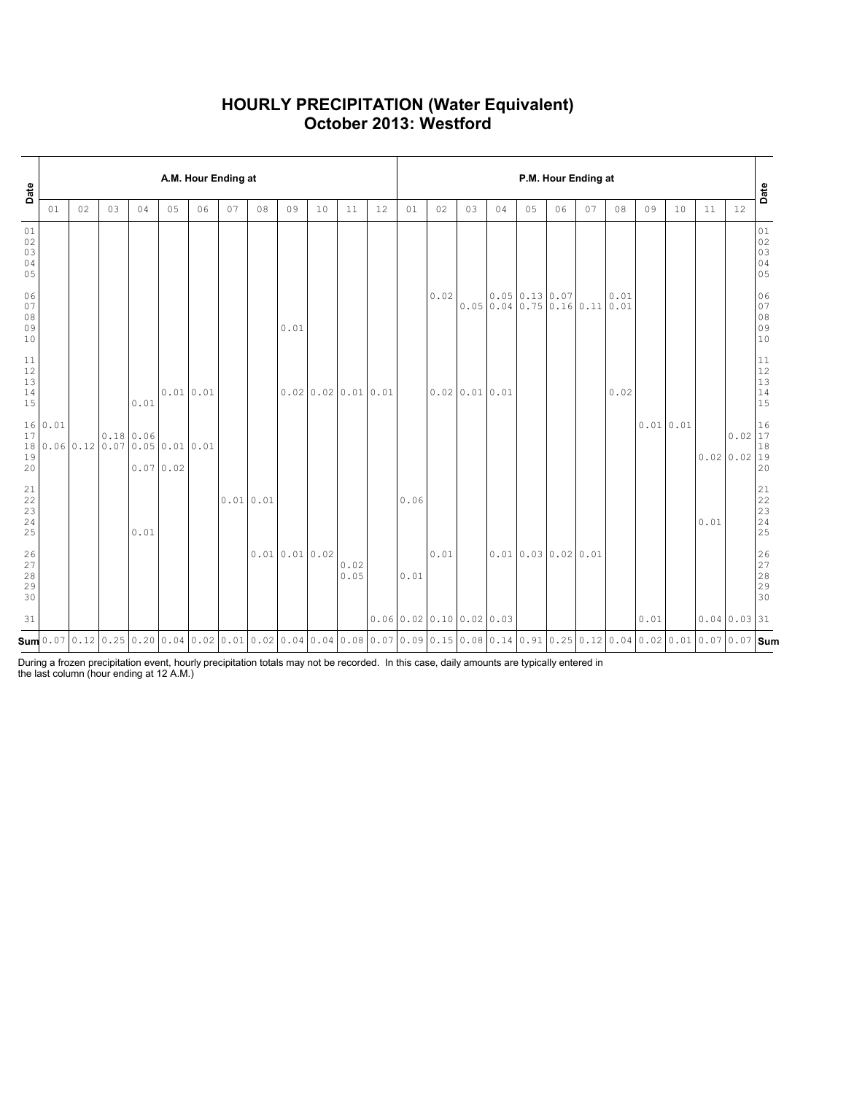### HOURLY PRECIPITATION (Water Equivalent) October 2013: Westford

| Date                                                      |         |    |    |                                               |               | A.M. Hour Ending at |    |          |              |                  |              |    | P.M. Hour Ending at |                            |               |    |                                                                            |    |    |      |          |    |                                                                                                                                                                                                               |           | Date                                                          |
|-----------------------------------------------------------|---------|----|----|-----------------------------------------------|---------------|---------------------|----|----------|--------------|------------------|--------------|----|---------------------|----------------------------|---------------|----|----------------------------------------------------------------------------|----|----|------|----------|----|---------------------------------------------------------------------------------------------------------------------------------------------------------------------------------------------------------------|-----------|---------------------------------------------------------------|
|                                                           | 01      | 02 | 03 | 04                                            | 05            | 06                  | 07 | 08       | 09           | 10               | 11           | 12 | 01                  | 02                         | 03            | 04 | 05                                                                         | 06 | 07 | 08   | 09       | 10 | 11                                                                                                                                                                                                            | 12        |                                                               |
| 01<br>$02\,$<br>03<br>04<br>05                            |         |    |    |                                               |               |                     |    |          |              |                  |              |    |                     |                            |               |    |                                                                            |    |    |      |          |    |                                                                                                                                                                                                               |           | 01<br>$02$<br>03<br>04<br>05                                  |
| 06<br>07<br>08<br>09<br>10                                |         |    |    |                                               |               |                     |    |          | 0.01         |                  |              |    |                     | 0.02                       |               |    | 0.05 0.13 0.07<br>$0.05 \mid 0.04 \mid 0.75 \mid 0.16 \mid 0.11 \mid 0.01$ |    |    | 0.01 |          |    |                                                                                                                                                                                                               |           | 06<br>07<br>08<br>09<br>10                                    |
| 11<br>12<br>13<br>$1\,4$<br>15                            |         |    |    | 0.01                                          | $0.01$ $0.01$ |                     |    |          |              | 0.020.020.010.01 |              |    |                     |                            | 0.0200.010.01 |    |                                                                            |    |    | 0.02 |          |    |                                                                                                                                                                                                               |           | $1\,1$<br>$\begin{array}{c} 12 \\ 13 \end{array}$<br>14<br>15 |
| 17<br>19<br>20                                            | 16 0.01 |    |    | 0.18 0.06<br>18 0.06 0.12 0.07 0.05 0.01 0.01 | 0.070.02      |                     |    |          |              |                  |              |    |                     |                            |               |    |                                                                            |    |    |      | 0.010.01 |    | 0.0200.0219                                                                                                                                                                                                   | $0.02$ 17 | 16<br>$1\,8$<br>20                                            |
| $\begin{array}{c} 21 \\ 22 \end{array}$<br>23<br>24<br>25 |         |    |    | 0.01                                          |               |                     |    | 0.010.01 |              |                  |              |    | 0.06                |                            |               |    |                                                                            |    |    |      |          |    | 0.01                                                                                                                                                                                                          |           | 21<br>22<br>$\frac{1}{2}$<br>24<br>25                         |
| 26<br>27<br>28<br>29<br>30                                |         |    |    |                                               |               |                     |    |          | 0.010.010.02 |                  | 0.02<br>0.05 |    | 0.01                | 0.01                       |               |    | 0.010.030.020.01                                                           |    |    |      |          |    |                                                                                                                                                                                                               |           | 26<br>$\begin{array}{c} 27 \\ 28 \end{array}$<br>29<br>30     |
| 31                                                        |         |    |    |                                               |               |                     |    |          |              |                  |              |    |                     | $0.06$ 0.02 0.10 0.02 0.03 |               |    |                                                                            |    |    |      | 0.01     |    | $0.04 \mid 0.03 \mid 31$                                                                                                                                                                                      |           |                                                               |
|                                                           |         |    |    |                                               |               |                     |    |          |              |                  |              |    |                     |                            |               |    |                                                                            |    |    |      |          |    | <b>Sum</b> 0.07   0.12   0.25   0.20   0.04   0.02   0.01   0.02   0.04   0.04   0.04   0.08   0.17   0.09   0.15   0.08   0.14   0.91   0.25   0.12   0.04   0.02   0.01   0.07   <b>0.</b> 07   <b>9.um</b> |           |                                                               |

During a frozen precipitation event, hourly precipitation totals may not be recorded. In this case, daily amounts are typically entered in the last column (hour ending at 12 A.M.)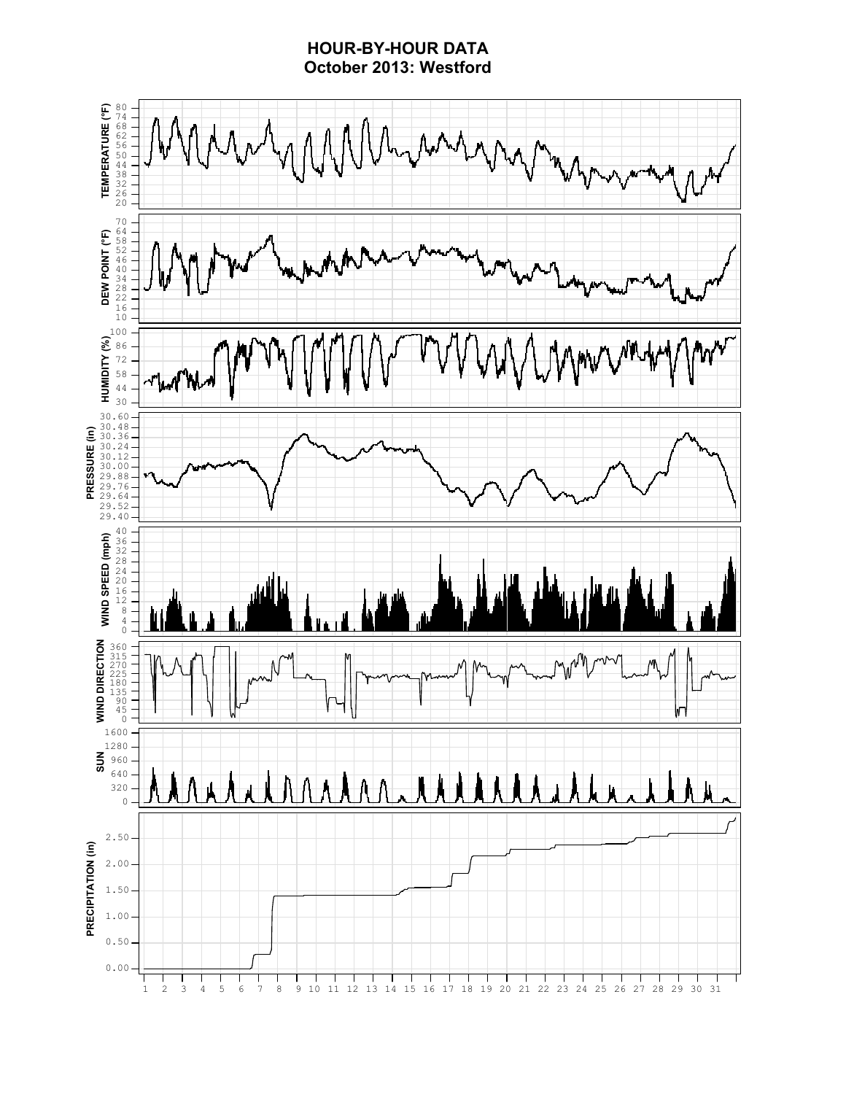### HOUR-BY-HOUR DATA October 2013: Westford